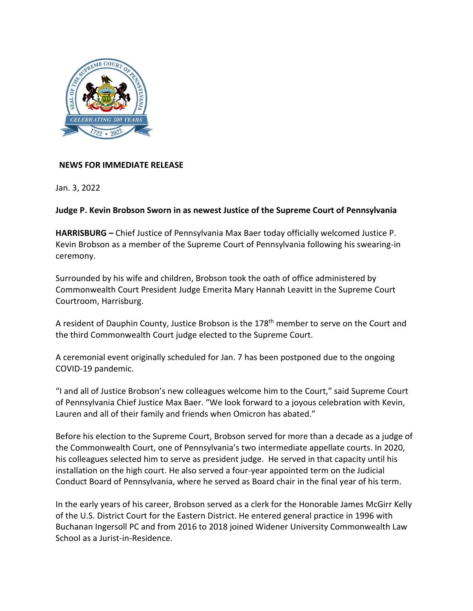

## **NEWS FOR IMMEDIATE RELEASE**

Jan. 3, 2022

## **Judge P. Kevin Brobson Sworn in as newest Justice of the Supreme Court of Pennsylvania**

**HARRISBURG –** Chief Justice of Pennsylvania Max Baer today officially welcomed Justice P. Kevin Brobson as a member of the Supreme Court of Pennsylvania following his swearing-in ceremony.

Surrounded by his wife and children, Brobson took the oath of office administered by Commonwealth Court President Judge Emerita Mary Hannah Leavitt in the Supreme Court Courtroom, Harrisburg.

A resident of Dauphin County, Justice Brobson is the 178<sup>th</sup> member to serve on the Court and the third Commonwealth Court judge elected to the Supreme Court.

A ceremonial event originally scheduled for Jan. 7 has been postponed due to the ongoing COVID-19 pandemic.

"I and all of Justice Brobson's new colleagues welcome him to the Court," said Supreme Court of Pennsylvania Chief Justice Max Baer. "We look forward to a joyous celebration with Kevin, Lauren and all of their family and friends when Omicron has abated."

Before his election to the Supreme Court, Brobson served for more than a decade as a judge of the Commonwealth Court, one of Pennsylvania's two intermediate appellate courts. In 2020, his colleagues selected him to serve as president judge. He served in that capacity until his installation on the high court. He also served a four-year appointed term on the Judicial Conduct Board of Pennsylvania, where he served as Board chair in the final year of his term.

In the early years of his career, Brobson served as a clerk for the Honorable James McGirr Kelly of the U.S. District Court for the Eastern District. He entered general practice in 1996 with Buchanan Ingersoll PC and from 2016 to 2018 joined Widener University Commonwealth Law School as a Jurist-in-Residence.